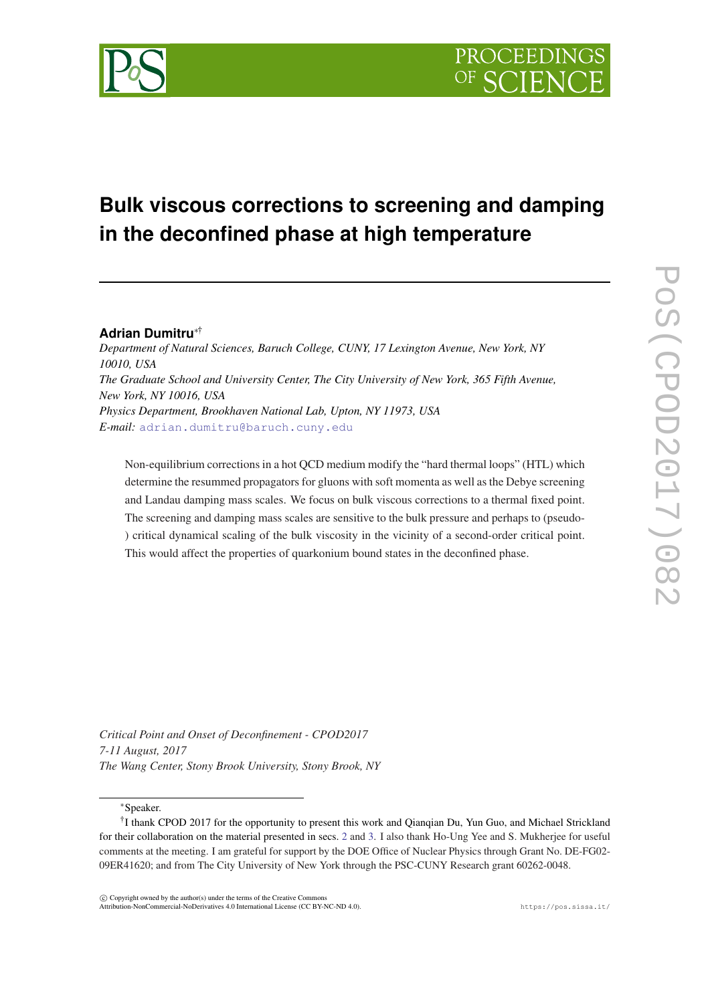# **Bulk viscous corrections to screening and damping in the deconfined phase at high temperature**

# **Adrian Dumitru**∗†

*Department of Natural Sciences, Baruch College, CUNY, 17 Lexington Avenue, New York, NY 10010, USA The Graduate School and University Center, The City University of New York, 365 Fifth Avenue, New York, NY 10016, USA Physics Department, Brookhaven National Lab, Upton, NY 11973, USA E-mail:* [adrian.dumitru@baruch.cuny.edu](mailto:adrian.dumitru@baruch.cuny.edu)

Non-equilibrium corrections in a hot QCD medium modify the "hard thermal loops" (HTL) which determine the resummed propagators for gluons with soft momenta as well as the Debye screening and Landau damping mass scales. We focus on bulk viscous corrections to a thermal fixed point. The screening and damping mass scales are sensitive to the bulk pressure and perhaps to (pseudo- ) critical dynamical scaling of the bulk viscosity in the vicinity of a second-order critical point. This would affect the properties of quarkonium bound states in the deconfined phase.

*Critical Point and Onset of Deconfinement - CPOD2017 7-11 August, 2017 The Wang Center, Stony Brook University, Stony Brook, NY*

<sup>∗</sup>Speaker.

 $(C)$  Copyright owned by the author(s) under the terms of the Creative Commons Attribution-NonCommercial-NoDerivatives 4.0 International License (CC BY-NC-ND 4.0). https://pos.sissa.it/

<sup>&</sup>lt;sup>†</sup>I thank CPOD 2017 for the opportunity to present this work and Qianqian Du, Yun Guo, and Michael Strickland for their collaboration on the material presented in secs. [2](#page-2-0) and [3](#page-4-0). I also thank Ho-Ung Yee and S. Mukherjee for useful comments at the meeting. I am grateful for support by the DOE Office of Nuclear Physics through Grant No. DE-FG02- 09ER41620; and from The City University of New York through the PSC-CUNY Research grant 60262-0048.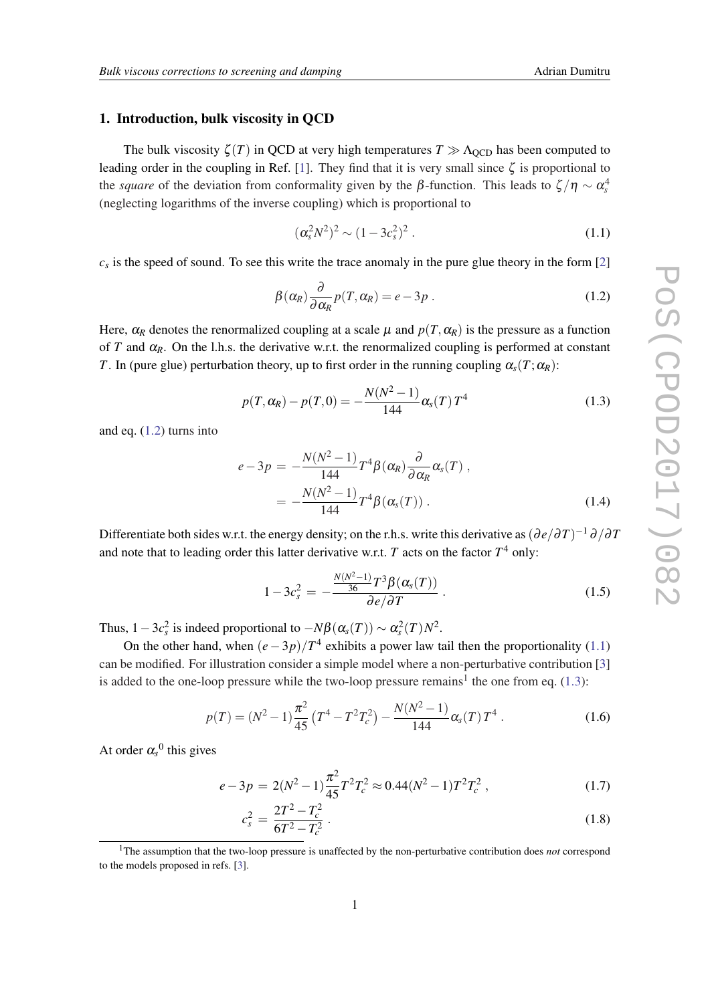### <span id="page-1-0"></span>1. Introduction, bulk viscosity in QCD

The bulk viscosity  $\zeta(T)$  in QCD at very high temperatures  $T \gg \Lambda_{\text{QCD}}$  has been computed to leading order in the coupling in Ref. [[1](#page-5-0)]. They find that it is very small since  $\zeta$  is proportional to the *square* of the deviation from conformality given by the  $\beta$ -function. This leads to  $\zeta/\eta \sim \alpha_s^4$ (neglecting logarithms of the inverse coupling) which is proportional to

$$
(\alpha_s^2 N^2)^2 \sim (1 - 3c_s^2)^2 \ . \tag{1.1}
$$

 $c<sub>s</sub>$  is the speed of sound. To see this write the trace anomaly in the pure glue theory in the form [[2](#page-5-0)]

$$
\beta(\alpha_R) \frac{\partial}{\partial \alpha_R} p(T, \alpha_R) = e - 3p \,. \tag{1.2}
$$

Here,  $\alpha_R$  denotes the renormalized coupling at a scale  $\mu$  and  $p(T, \alpha_R)$  is the pressure as a function of *T* and  $\alpha_R$ . On the l.h.s. the derivative w.r.t. the renormalized coupling is performed at constant *T*. In (pure glue) perturbation theory, up to first order in the running coupling  $\alpha_{s}(T;\alpha_{R})$ :

$$
p(T, \alpha_R) - p(T, 0) = -\frac{N(N^2 - 1)}{144} \alpha_s(T) T^4
$$
\n(1.3)

and eq. (1.2) turns into

$$
e-3p = -\frac{N(N^2-1)}{144}T^4\beta(\alpha_R)\frac{\partial}{\partial \alpha_R}\alpha_s(T),
$$
  
= 
$$
-\frac{N(N^2-1)}{144}T^4\beta(\alpha_s(T)).
$$
 (1.4)

Differentiate both sides w.r.t. the energy density; on the r.h.s. write this derivative as  $(\partial e/\partial T)^{-1}\partial/\partial T$ and note that to leading order this latter derivative w.r.t. *T* acts on the factor *T* <sup>4</sup> only:

$$
1 - 3c_s^2 = -\frac{\frac{N(N^2 - 1)}{36}T^3\beta(\alpha_s(T))}{\partial e/\partial T}.
$$
 (1.5)

Thus,  $1-3c_s^2$  is indeed proportional to  $-N\beta(\alpha_s(T)) \sim \alpha_s^2(T)N^2$ .

On the other hand, when  $(e-3p)/T^4$  exhibits a power law tail then the proportionality (1.1) can be modified. For illustration consider a simple model where a non-perturbative contribution [[3](#page-5-0)] is added to the one-loop pressure while the two-loop pressure remains<sup>1</sup> the one from eq.  $(1.3)$ :

$$
p(T) = (N^2 - 1)\frac{\pi^2}{45} \left( T^4 - T^2 T_c^2 \right) - \frac{N(N^2 - 1)}{144} \alpha_s(T) T^4 \,. \tag{1.6}
$$

At order  $\alpha_s^0$  this gives

$$
e - 3p = 2(N^2 - 1)\frac{\pi^2}{45}T^2T_c^2 \approx 0.44(N^2 - 1)T^2T_c^2,
$$
\n(1.7)

$$
c_s^2 = \frac{2T^2 - T_c^2}{6T^2 - T_c^2} \,. \tag{1.8}
$$

<sup>1</sup>The assumption that the two-loop pressure is unaffected by the non-perturbative contribution does *not* correspond to the models proposed in refs. [\[3\]](#page-5-0).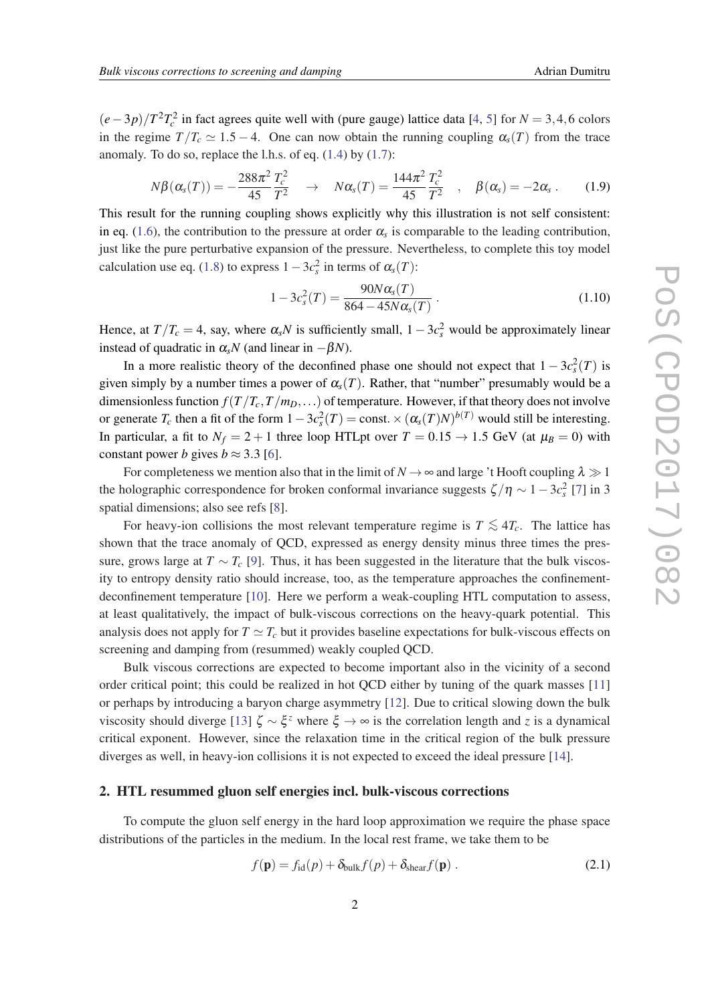<span id="page-2-0"></span> $(e-3p)/T^2T_c^2$  in fact agrees quite well with (pure gauge) lattice data [[4](#page-5-0), [5](#page-5-0)] for *N* = 3,4,6 colors in the regime  $T/T_c \simeq 1.5 - 4$ . One can now obtain the running coupling  $\alpha_s(T)$  from the trace anomaly. To do so, replace the l.h.s. of eq.  $(1.4)$  by  $(1.7)$  $(1.7)$ :

$$
N\beta(\alpha_s(T)) = -\frac{288\pi^2}{45}\frac{T_c^2}{T^2} \quad \to \quad N\alpha_s(T) = \frac{144\pi^2}{45}\frac{T_c^2}{T^2} \quad , \quad \beta(\alpha_s) = -2\alpha_s \,. \tag{1.9}
$$

This result for the running coupling shows explicitly why this illustration is not self consistent: in eq. ([1.6](#page-1-0)), the contribution to the pressure at order  $\alpha_s$  is comparable to the leading contribution, just like the pure perturbative expansion of the pressure. Nevertheless, to complete this toy model calculation use eq. ([1.8](#page-1-0)) to express  $1-3c_s^2$  in terms of  $\alpha_s(T)$ :

$$
1 - 3c_s^2(T) = \frac{90N\alpha_s(T)}{864 - 45N\alpha_s(T)}.
$$
\n(1.10)

Hence, at  $T/T_c = 4$ , say, where  $\alpha_s N$  is sufficiently small,  $1 - 3c_s^2$  would be approximately linear instead of quadratic in  $\alpha_s N$  (and linear in  $-\beta N$ ).

In a more realistic theory of the deconfined phase one should not expect that  $1 - 3c_s^2(T)$  is given simply by a number times a power of  $\alpha_s(T)$ . Rather, that "number" presumably would be a dimensionless function  $f(T/T_c, T/m_D, ...)$  of temperature. However, if that theory does not involve or generate  $T_c$  then a fit of the form  $1-3c_s^2(T) = \text{const.} \times (\alpha_s(T)N)^{b(T)}$  would still be interesting. In particular, a fit to  $N_f = 2 + 1$  three loop HTLpt over  $T = 0.15 \rightarrow 1.5$  GeV (at  $\mu_B = 0$ ) with constant power *b* gives  $b \approx 3.3$  [[6](#page-5-0)].

For completeness we mention also that in the limit of  $N \to \infty$  and large 't Hooft coupling  $\lambda \gg 1$ the holographic correspondence for broken conformal invariance suggests  $\zeta/\eta \sim 1-3c_s^2$  [[7](#page-5-0)] in 3 spatial dimensions; also see refs [[8](#page-5-0)].

For heavy-ion collisions the most relevant temperature regime is  $T \lesssim 4T_c$ . The lattice has shown that the trace anomaly of QCD, expressed as energy density minus three times the pressure, grows large at  $T \sim T_c$  [\[9\]](#page-5-0). Thus, it has been suggested in the literature that the bulk viscosity to entropy density ratio should increase, too, as the temperature approaches the confinementdeconfinement temperature [\[10\]](#page-5-0). Here we perform a weak-coupling HTL computation to assess, at least qualitatively, the impact of bulk-viscous corrections on the heavy-quark potential. This analysis does not apply for  $T \simeq T_c$  but it provides baseline expectations for bulk-viscous effects on screening and damping from (resummed) weakly coupled QCD.

Bulk viscous corrections are expected to become important also in the vicinity of a second order critical point; this could be realized in hot QCD either by tuning of the quark masses [\[11](#page-5-0)] or perhaps by introducing a baryon charge asymmetry [\[12](#page-6-0)]. Due to critical slowing down the bulk viscosity should diverge [[13\]](#page-6-0) ζ ∼ ξ *<sup>z</sup>* where ξ → ∞ is the correlation length and *z* is a dynamical critical exponent. However, since the relaxation time in the critical region of the bulk pressure diverges as well, in heavy-ion collisions it is not expected to exceed the ideal pressure [[14\]](#page-6-0).

#### 2. HTL resummed gluon self energies incl. bulk-viscous corrections

To compute the gluon self energy in the hard loop approximation we require the phase space distributions of the particles in the medium. In the local rest frame, we take them to be

$$
f(\mathbf{p}) = f_{\text{id}}(p) + \delta_{\text{bulk}} f(p) + \delta_{\text{shear}} f(\mathbf{p}) \tag{2.1}
$$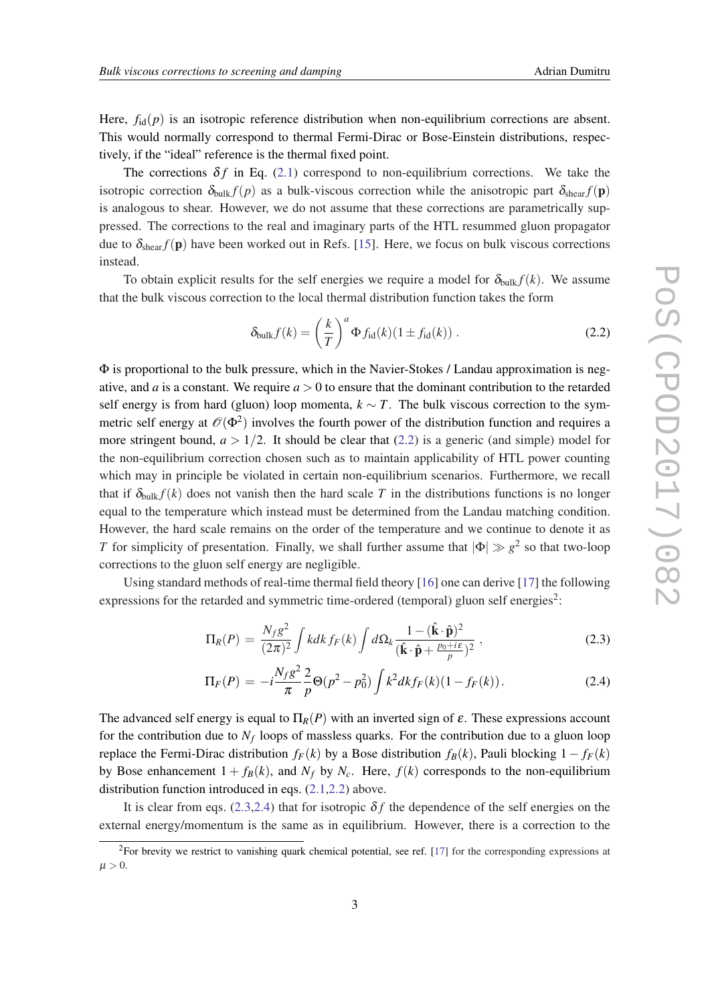Here,  $f_{id}(p)$  is an isotropic reference distribution when non-equilibrium corrections are absent. This would normally correspond to thermal Fermi-Dirac or Bose-Einstein distributions, respectively, if the "ideal" reference is the thermal fixed point.

The corrections  $\delta f$  in Eq. ([2.1](#page-2-0)) correspond to non-equilibrium corrections. We take the isotropic correction  $\delta_{bulk} f(p)$  as a bulk-viscous correction while the anisotropic part  $\delta_{shear} f(p)$ is analogous to shear. However, we do not assume that these corrections are parametrically suppressed. The corrections to the real and imaginary parts of the HTL resummed gluon propagator due to  $\delta_{\text{shear}} f(\mathbf{p})$  have been worked out in Refs. [[15](#page-6-0)]. Here, we focus on bulk viscous corrections instead.

To obtain explicit results for the self energies we require a model for  $\delta_{\text{bulk}} f(k)$ . We assume that the bulk viscous correction to the local thermal distribution function takes the form

$$
\delta_{\text{bulk}} f(k) = \left(\frac{k}{T}\right)^a \Phi f_{\text{id}}(k) (1 \pm f_{\text{id}}(k)) . \tag{2.2}
$$

 $\Phi$  is proportional to the bulk pressure, which in the Navier-Stokes / Landau approximation is negative, and *a* is a constant. We require  $a > 0$  to ensure that the dominant contribution to the retarded self energy is from hard (gluon) loop momenta,  $k \sim T$ . The bulk viscous correction to the symmetric self energy at  $\mathscr{O}(\Phi^2)$  involves the fourth power of the distribution function and requires a more stringent bound,  $a > 1/2$ . It should be clear that (2.2) is a generic (and simple) model for the non-equilibrium correction chosen such as to maintain applicability of HTL power counting which may in principle be violated in certain non-equilibrium scenarios. Furthermore, we recall that if  $\delta_{bulk} f(k)$  does not vanish then the hard scale T in the distributions functions is no longer equal to the temperature which instead must be determined from the Landau matching condition. However, the hard scale remains on the order of the temperature and we continue to denote it as *T* for simplicity of presentation. Finally, we shall further assume that  $|\Phi| \gg g^2$  so that two-loop corrections to the gluon self energy are negligible.

Using standard methods of real-time thermal field theory [\[16](#page-6-0)] one can derive [[17\]](#page-6-0) the following expressions for the retarded and symmetric time-ordered (temporal) gluon self energies<sup>2</sup>:

$$
\Pi_R(P) = \frac{N_f g^2}{(2\pi)^2} \int k dk f_F(k) \int d\Omega_k \frac{1 - (\hat{\mathbf{k}} \cdot \hat{\mathbf{p}})^2}{(\hat{\mathbf{k}} \cdot \hat{\mathbf{p}} + \frac{p_0 + i\epsilon}{p})^2},
$$
\n(2.3)

$$
\Pi_F(P) = -i\frac{N_f g^2}{\pi} \frac{2}{p} \Theta(p^2 - p_0^2) \int k^2 dk f_F(k) (1 - f_F(k)). \tag{2.4}
$$

The advanced self energy is equal to  $\Pi_R(P)$  with an inverted sign of  $\varepsilon$ . These expressions account for the contribution due to *N<sup>f</sup>* loops of massless quarks. For the contribution due to a gluon loop replace the Fermi-Dirac distribution  $f_F(k)$  by a Bose distribution  $f_B(k)$ , Pauli blocking  $1 - f_F(k)$ by Bose enhancement  $1 + f_B(k)$ , and  $N_f$  by  $N_c$ . Here,  $f(k)$  corresponds to the non-equilibrium distribution function introduced in eqs. [\(2.1](#page-2-0),2.2) above.

It is clear from eqs. (2.3,2.4) that for isotropic  $\delta f$  the dependence of the self energies on the external energy/momentum is the same as in equilibrium. However, there is a correction to the

<sup>&</sup>lt;sup>2</sup>For brevity we restrict to vanishing quark chemical potential, see ref. [\[17](#page-6-0)] for the corresponding expressions at  $\mu > 0$ .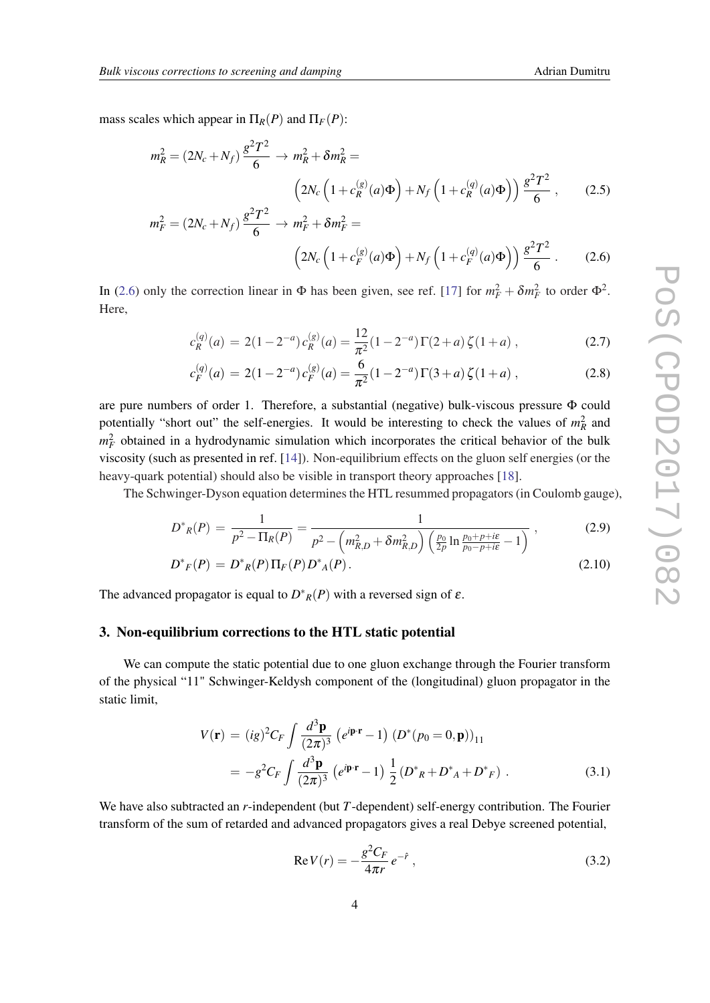<span id="page-4-0"></span>mass scales which appear in  $\Pi_R(P)$  and  $\Pi_F(P)$ :

$$
m_R^2 = (2N_c + N_f) \frac{g^2 T^2}{6} \to m_R^2 + \delta m_R^2 =
$$
  

$$
\left(2N_c \left(1 + c_R^{(g)}(a)\Phi\right) + N_f \left(1 + c_R^{(g)}(a)\Phi\right)\right) \frac{g^2 T^2}{6}, \qquad (2.5)
$$
  

$$
m_F^2 = (2N_c + N_f) \frac{g^2 T^2}{6} \to m_F^2 + \delta m_F^2 =
$$

$$
\left(2N_c\left(1+c_F^{(g)}(a)\Phi\right)+N_f\left(1+c_F^{(q)}(a)\Phi\right)\right)\frac{g^2T^2}{6} \,. \tag{2.6}
$$

In (2.6) only the correction linear in  $\Phi$  has been given, see ref. [[17\]](#page-6-0) for  $m_F^2 + \delta m_F^2$  to order  $\Phi^2$ . Here,

$$
c_R^{(q)}(a) = 2(1 - 2^{-a}) c_R^{(g)}(a) = \frac{12}{\pi^2} (1 - 2^{-a}) \Gamma(2 + a) \zeta(1 + a) , \qquad (2.7)
$$

$$
c_F^{(q)}(a) = 2(1 - 2^{-a})c_F^{(g)}(a) = \frac{6}{\pi^2}(1 - 2^{-a})\Gamma(3 + a)\zeta(1 + a) ,\qquad (2.8)
$$

are pure numbers of order 1. Therefore, a substantial (negative) bulk-viscous pressure Φ could potentially "short out" the self-energies. It would be interesting to check the values of  $m_R^2$  and  $m_F^2$  obtained in a hydrodynamic simulation which incorporates the critical behavior of the bulk viscosity (such as presented in ref. [[14](#page-6-0)]). Non-equilibrium effects on the gluon self energies (or the heavy-quark potential) should also be visible in transport theory approaches [[18\]](#page-6-0).

The Schwinger-Dyson equation determines the HTL resummed propagators (in Coulomb gauge),

$$
D^*_{R}(P) = \frac{1}{p^2 - \Pi_R(P)} = \frac{1}{p^2 - \left(m_{R,D}^2 + \delta m_{R,D}^2\right) \left(\frac{p_0}{2p} \ln \frac{p_0 + p + i\epsilon}{p_0 - p + i\epsilon} - 1\right)}\,,\tag{2.9}
$$

$$
D^*{}_F(P) = D^*{}_R(P) \Pi_F(P) D^*{}_A(P). \tag{2.10}
$$

The advanced propagator is equal to  $D^*_{R}(P)$  with a reversed sign of  $\varepsilon$ .

# 3. Non-equilibrium corrections to the HTL static potential

We can compute the static potential due to one gluon exchange through the Fourier transform of the physical "11" Schwinger-Keldysh component of the (longitudinal) gluon propagator in the static limit,

$$
V(\mathbf{r}) = (ig)^2 C_F \int \frac{d^3 \mathbf{p}}{(2\pi)^3} (e^{i\mathbf{p} \cdot \mathbf{r}} - 1) (D^* (p_0 = 0, \mathbf{p}))_{11}
$$
  
=  $-g^2 C_F \int \frac{d^3 \mathbf{p}}{(2\pi)^3} (e^{i\mathbf{p} \cdot \mathbf{r}} - 1) \frac{1}{2} (D^*_{R} + D^*_{A} + D^*_{F})$ . (3.1)

We have also subtracted an *r*-independent (but *T*-dependent) self-energy contribution. The Fourier transform of the sum of retarded and advanced propagators gives a real Debye screened potential,

$$
Re V(r) = -\frac{g^2 C_F}{4\pi r} e^{-\hat{r}},
$$
\n(3.2)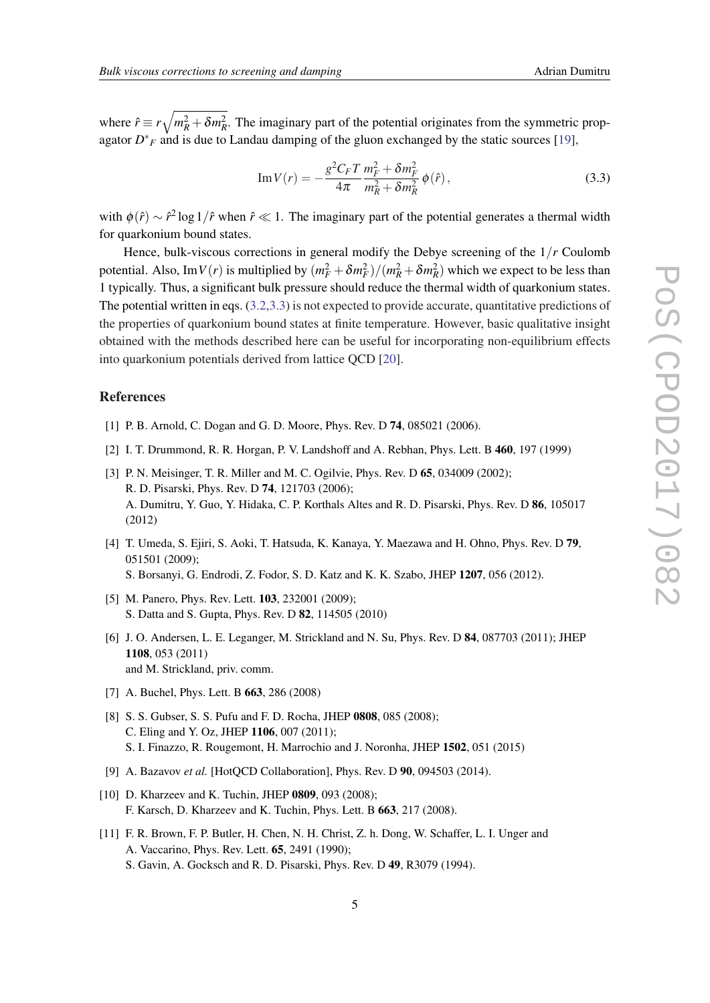<span id="page-5-0"></span>where  $\hat{r} \equiv r \sqrt{m_R^2 + \delta m_R^2}$ . The imaginary part of the potential originates from the symmetric propagator  $D^*$ <sub>F</sub> and is due to Landau damping of the gluon exchanged by the static sources [\[19](#page-6-0)],

Im 
$$
V(r) = -\frac{g^2 C_F T}{4\pi} \frac{m_F^2 + \delta m_F^2}{m_R^2 + \delta m_R^2} \phi(\hat{r}),
$$
 (3.3)

with  $\phi(\hat{r}) \sim \hat{r}^2 \log 1/\hat{r}$  when  $\hat{r} \ll 1$ . The imaginary part of the potential generates a thermal width for quarkonium bound states.

Hence, bulk-viscous corrections in general modify the Debye screening of the 1/*r* Coulomb potential. Also, Im*V*(*r*) is multiplied by  $(m_F^2 + \delta m_F^2)/(m_R^2 + \delta m_R^2)$  which we expect to be less than 1 typically. Thus, a significant bulk pressure should reduce the thermal width of quarkonium states. The potential written in eqs. ([3.2](#page-4-0),3.3) is not expected to provide accurate, quantitative predictions of the properties of quarkonium bound states at finite temperature. However, basic qualitative insight obtained with the methods described here can be useful for incorporating non-equilibrium effects into quarkonium potentials derived from lattice QCD [\[20](#page-6-0)].

## References

- [1] P. B. Arnold, C. Dogan and G. D. Moore, Phys. Rev. D **74**, 085021 (2006).
- [2] I. T. Drummond, R. R. Horgan, P. V. Landshoff and A. Rebhan, Phys. Lett. B 460, 197 (1999)
- [3] P. N. Meisinger, T. R. Miller and M. C. Ogilvie, Phys. Rev. D 65, 034009 (2002); R. D. Pisarski, Phys. Rev. D 74, 121703 (2006); A. Dumitru, Y. Guo, Y. Hidaka, C. P. Korthals Altes and R. D. Pisarski, Phys. Rev. D 86, 105017 (2012)
- [4] T. Umeda, S. Ejiri, S. Aoki, T. Hatsuda, K. Kanaya, Y. Maezawa and H. Ohno, Phys. Rev. D 79, 051501 (2009); S. Borsanyi, G. Endrodi, Z. Fodor, S. D. Katz and K. K. Szabo, JHEP 1207, 056 (2012).
- [5] M. Panero, Phys. Rev. Lett. **103**, 232001 (2009); S. Datta and S. Gupta, Phys. Rev. D 82, 114505 (2010)
- [6] J. O. Andersen, L. E. Leganger, M. Strickland and N. Su, Phys. Rev. D 84, 087703 (2011); JHEP 1108, 053 (2011) and M. Strickland, priv. comm.
- [7] A. Buchel, Phys. Lett. B 663, 286 (2008)
- [8] S. S. Gubser, S. S. Pufu and F. D. Rocha, JHEP 0808, 085 (2008); C. Eling and Y. Oz, JHEP 1106, 007 (2011); S. I. Finazzo, R. Rougemont, H. Marrochio and J. Noronha, JHEP 1502, 051 (2015)
- [9] A. Bazavov *et al.* [HotQCD Collaboration], Phys. Rev. D 90, 094503 (2014).
- [10] D. Kharzeev and K. Tuchin, JHEP 0809, 093 (2008); F. Karsch, D. Kharzeev and K. Tuchin, Phys. Lett. B 663, 217 (2008).
- [11] F. R. Brown, F. P. Butler, H. Chen, N. H. Christ, Z. h. Dong, W. Schaffer, L. I. Unger and A. Vaccarino, Phys. Rev. Lett. 65, 2491 (1990); S. Gavin, A. Gocksch and R. D. Pisarski, Phys. Rev. D 49, R3079 (1994).